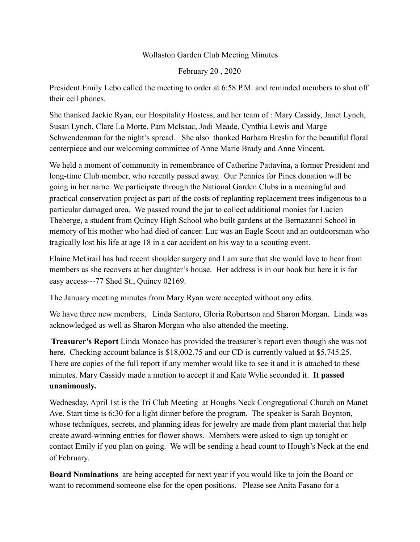## Wollaston Garden Club Meeting Minutes

February 20 , 2020

President Emily Lebo called the meeting to order at 6:58 P.M. and reminded members to shut off their cell phones.

She thanked Jackie Ryan, our Hospitality Hostess, and her team of : Mary Cassidy, Janet Lynch, Susan Lynch, Clare La Morte, Pam McIsaac, Jodi Meade, Cynthia Lewis and Marge Schwendenman for the night's spread. She also thanked Barbara Breslin for the beautiful floral centerpiece **a**nd our welcoming committee of Anne Marie Brady and Anne Vincent.

We held a moment of community in remembrance of Catherine Pattavina**,** a former President and long-time Club member, who recently passed away. Our Pennies for Pines donation will be going in her name. We participate through the National Garden Clubs in a meaningful and practical conservation project as part of the costs of replanting replacement trees indigenous to a particular damaged area. We passed round the jar to collect additional monies for Lucien Theberge, a student from Quincy High School who built gardens at the Bernazanni School in memory of his mother who had died of cancer. Luc was an Eagle Scout and an outdoorsman who tragically lost his life at age 18 in a car accident on his way to a scouting event.

Elaine McGrail has had recent shoulder surgery and I am sure that she would love to hear from members as she recovers at her daughter's house. Her address is in our book but here it is for easy access---77 Shed St., Quincy 02169.

The January meeting minutes from Mary Ryan were accepted without any edits.

We have three new members, Linda Santoro, Gloria Robertson and Sharon Morgan. Linda was acknowledged as well as Sharon Morgan who also attended the meeting.

 **Treasurer's Report** Linda Monaco has provided the treasurer's report even though she was not here. Checking account balance is \$18,002.75 and our CD is currently valued at \$5,745.25. There are copies of the full report if any member would like to see it and it is attached to these minutes. Mary Cassidy made a motion to accept it and Kate Wylie seconded it. **It passed unanimously.** 

Wednesday, April 1st is the Tri Club Meeting at Houghs Neck Congregational Church on Manet Ave. Start time is 6:30 for a light dinner before the program. The speaker is Sarah Boynton, whose techniques, secrets, and planning ideas for jewelry are made from plant material that help create award-winning entries for flower shows. Members were asked to sign up tonight or contact Emily if you plan on going. We will be sending a head count to Hough's Neck at the end of February.

**Board Nominations** are being accepted for next year if you would like to join the Board or want to recommend someone else for the open positions. Please see Anita Fasano for a